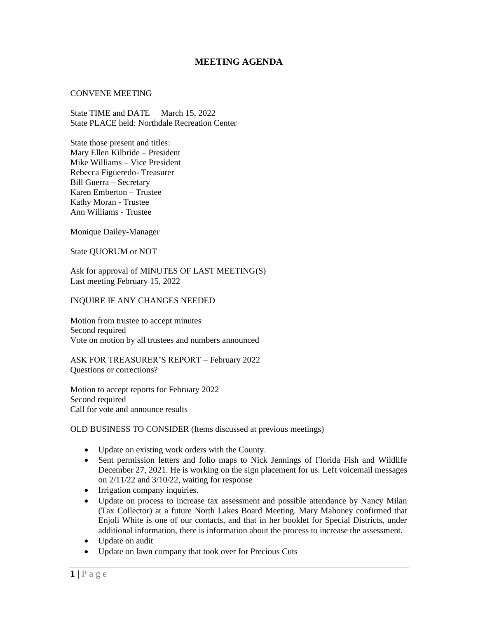# **MEETING AGENDA**

#### CONVENE MEETING

State TIME and DATE March 15, 2022 State PLACE held: Northdale Recreation Center

State those present and titles: Mary Ellen Kilbride – President Mike Williams – Vice President Rebecca Figueredo- Treasurer Bill Guerra – Secretary Karen Emberton – Trustee Kathy Moran - Trustee Ann Williams - Trustee

Monique Dailey-Manager

State QUORUM or NOT

Ask for approval of MINUTES OF LAST MEETING(S) Last meeting February 15, 2022

#### INQUIRE IF ANY CHANGES NEEDED

Motion from trustee to accept minutes Second required Vote on motion by all trustees and numbers announced

ASK FOR TREASURER'S REPORT – February 2022 Questions or corrections?

Motion to accept reports for February 2022 Second required Call for vote and announce results

## OLD BUSINESS TO CONSIDER (Items discussed at previous meetings)

- Update on existing work orders with the County.
- Sent permission letters and folio maps to Nick Jennings of Florida Fish and Wildlife December 27, 2021. He is working on the sign placement for us. Left voicemail messages on 2/11/22 and 3/10/22, waiting for response
- Irrigation company inquiries.
- Update on process to increase tax assessment and possible attendance by Nancy Milan (Tax Collector) at a future North Lakes Board Meeting. Mary Mahoney confirmed that Enjoli White is one of our contacts, and that in her booklet for Special Districts, under additional information, there is information about the process to increase the assessment.
- Update on audit
- Update on lawn company that took over for Precious Cuts